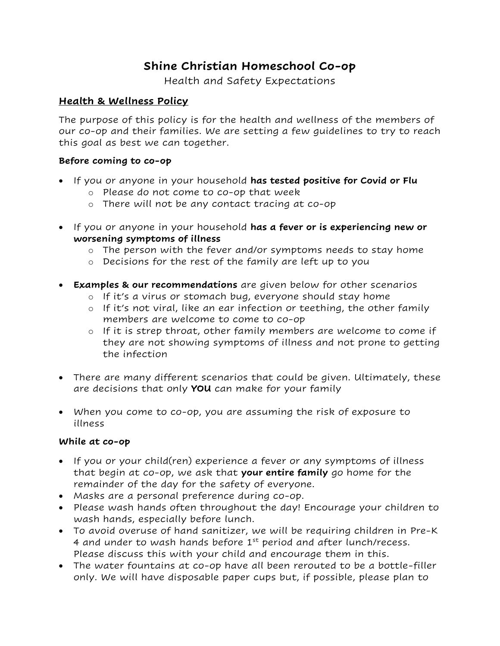# **Shine Christian Homeschool Co-op**

Health and Safety Expectations

### **Health & Wellness Policy**

The purpose of this policy is for the health and wellness of the members of our co-op and their families. We are setting a few guidelines to try to reach this goal as best we can together.

#### **Before coming to co-op**

- If you or anyone in your household **has tested positive for Covid or Flu**
	- o Please do not come to co-op that week
	- o There will not be any contact tracing at co-op
- If you or anyone in your household **has a fever or is experiencing new or worsening symptoms of illness**
	- o The person with the fever and/or symptoms needs to stay home
	- o Decisions for the rest of the family are left up to you
- **Examples & our recommendations** are given below for other scenarios
	- o If it's a virus or stomach bug, everyone should stay home
	- o If it's not viral, like an ear infection or teething, the other family members are welcome to come to co-op
	- o If it is strep throat, other family members are welcome to come if they are not showing symptoms of illness and not prone to getting the infection
- There are many different scenarios that could be given. Ultimately, these are decisions that only **YOU** can make for your family
- When you come to co-op, you are assuming the risk of exposure to illness

#### **While at co-op**

- If you or your child(ren) experience a fever or any symptoms of illness that begin at co-op, we ask that **your entire family** go home for the remainder of the day for the safety of everyone.
- Masks are a personal preference during co-op.
- Please wash hands often throughout the day! Encourage your children to wash hands, especially before lunch.
- To avoid overuse of hand sanitizer, we will be requiring children in Pre-K 4 and under to wash hands before  $1<sup>st</sup>$  period and after lunch/recess. Please discuss this with your child and encourage them in this.
- The water fountains at co-op have all been rerouted to be a bottle-filler only. We will have disposable paper cups but, if possible, please plan to